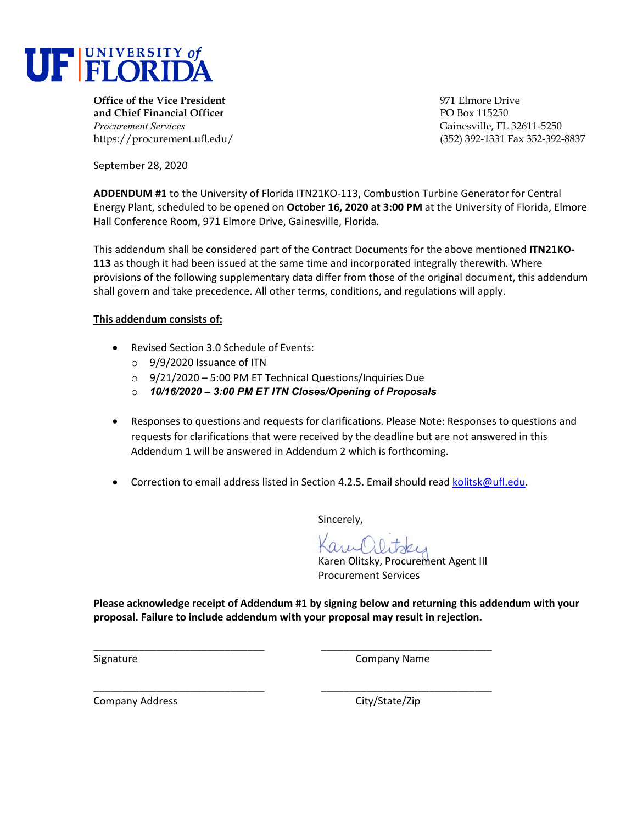

**Office of the Vice President** entertainment of the Vice President entertainment of the Vice Prive **and Chief Financial Officer** PO Box 115250 *Procurement Services* Gainesville, FL 32611-5250

https://procurement.ufl.edu/ (352) 392-1331 Fax 352-392-8837

September 28, 2020

**ADDENDUM #1** to the University of Florida ITN21KO-113, Combustion Turbine Generator for Central Energy Plant, scheduled to be opened on **October 16, 2020 at 3:00 PM** at the University of Florida, Elmore Hall Conference Room, 971 Elmore Drive, Gainesville, Florida.

This addendum shall be considered part of the Contract Documents for the above mentioned **ITN21KO-113** as though it had been issued at the same time and incorporated integrally therewith. Where provisions of the following supplementary data differ from those of the original document, this addendum shall govern and take precedence. All other terms, conditions, and regulations will apply.

## **This addendum consists of:**

- Revised Section 3.0 Schedule of Events:
	- o 9/9/2020 Issuance of ITN
	- o 9/21/2020 5:00 PM ET Technical Questions/Inquiries Due
	- o *10/16/2020 – 3:00 PM ET ITN Closes/Opening of Proposals*
- Responses to questions and requests for clarifications. Please Note: Responses to questions and requests for clarifications that were received by the deadline but are not answered in this Addendum 1 will be answered in Addendum 2 which is forthcoming.
- Correction to email address listed in Section 4.2.5. Email should read [kolitsk@ufl.edu.](mailto:kolitsk@ufl.edu)

Sincerely,

Karen Olitsky, Procurement Agent III Procurement Services

**Please acknowledge receipt of Addendum #1 by signing below and returning this addendum with your proposal. Failure to include addendum with your proposal may result in rejection.** 

\_\_\_\_\_\_\_\_\_\_\_\_\_\_\_\_\_\_\_\_\_\_\_\_\_\_\_\_\_\_ \_\_\_\_\_\_\_\_\_\_\_\_\_\_\_\_\_\_\_\_\_\_\_\_\_\_\_\_\_\_

\_\_\_\_\_\_\_\_\_\_\_\_\_\_\_\_\_\_\_\_\_\_\_\_\_\_\_\_\_\_ \_\_\_\_\_\_\_\_\_\_\_\_\_\_\_\_\_\_\_\_\_\_\_\_\_\_\_\_\_\_ Signature Company Name

Company Address Company Address City/State/Zip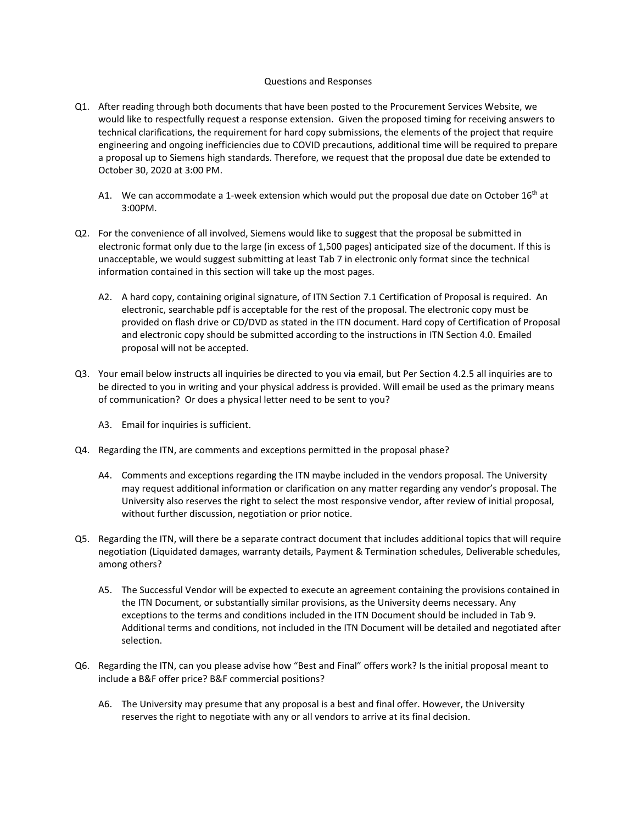## Questions and Responses

- Q1. After reading through both documents that have been posted to the Procurement Services Website, we would like to respectfully request a response extension. Given the proposed timing for receiving answers to technical clarifications, the requirement for hard copy submissions, the elements of the project that require engineering and ongoing inefficiencies due to COVID precautions, additional time will be required to prepare a proposal up to Siemens high standards. Therefore, we request that the proposal due date be extended to October 30, 2020 at 3:00 PM.
	- A1. We can accommodate a 1-week extension which would put the proposal due date on October  $16<sup>th</sup>$  at 3:00PM.
- Q2. For the convenience of all involved, Siemens would like to suggest that the proposal be submitted in electronic format only due to the large (in excess of 1,500 pages) anticipated size of the document. If this is unacceptable, we would suggest submitting at least Tab 7 in electronic only format since the technical information contained in this section will take up the most pages.
	- A2. A hard copy, containing original signature, of ITN Section 7.1 Certification of Proposal is required. An electronic, searchable pdf is acceptable for the rest of the proposal. The electronic copy must be provided on flash drive or CD/DVD as stated in the ITN document. Hard copy of Certification of Proposal and electronic copy should be submitted according to the instructions in ITN Section 4.0. Emailed proposal will not be accepted.
- Q3. Your email below instructs all inquiries be directed to you via email, but Per Section 4.2.5 all inquiries are to be directed to you in writing and your physical address is provided. Will email be used as the primary means of communication? Or does a physical letter need to be sent to you?
	- A3. Email for inquiries is sufficient.
- Q4. Regarding the ITN, are comments and exceptions permitted in the proposal phase?
	- A4. Comments and exceptions regarding the ITN maybe included in the vendors proposal. The University may request additional information or clarification on any matter regarding any vendor's proposal. The University also reserves the right to select the most responsive vendor, after review of initial proposal, without further discussion, negotiation or prior notice.
- Q5. Regarding the ITN, will there be a separate contract document that includes additional topics that will require negotiation (Liquidated damages, warranty details, Payment & Termination schedules, Deliverable schedules, among others?
	- A5. The Successful Vendor will be expected to execute an agreement containing the provisions contained in the ITN Document, or substantially similar provisions, as the University deems necessary. Any exceptions to the terms and conditions included in the ITN Document should be included in Tab 9. Additional terms and conditions, not included in the ITN Document will be detailed and negotiated after selection.
- Q6. Regarding the ITN, can you please advise how "Best and Final" offers work? Is the initial proposal meant to include a B&F offer price? B&F commercial positions?
	- A6. The University may presume that any proposal is a best and final offer. However, the University reserves the right to negotiate with any or all vendors to arrive at its final decision.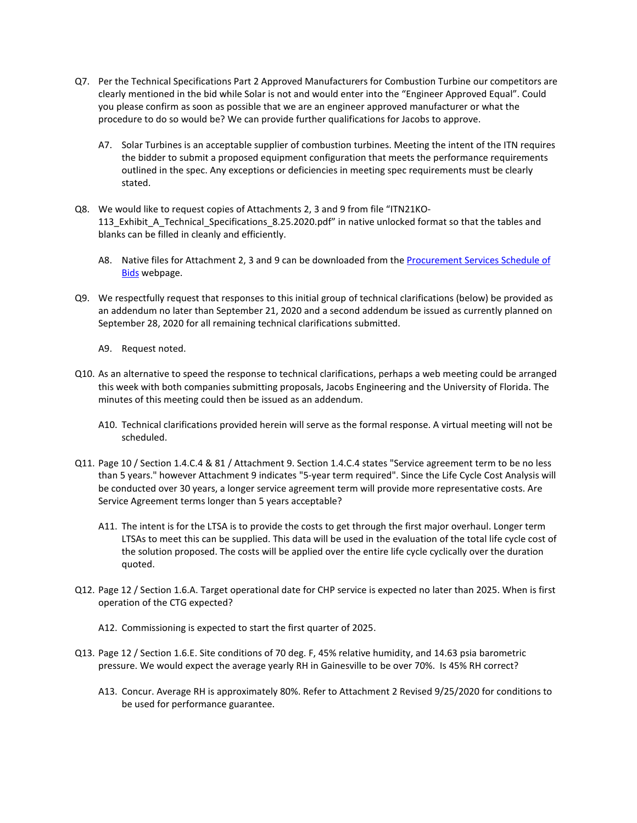- Q7. Per the Technical Specifications Part 2 Approved Manufacturers for Combustion Turbine our competitors are clearly mentioned in the bid while Solar is not and would enter into the "Engineer Approved Equal". Could you please confirm as soon as possible that we are an engineer approved manufacturer or what the procedure to do so would be? We can provide further qualifications for Jacobs to approve.
	- A7. Solar Turbines is an acceptable supplier of combustion turbines. Meeting the intent of the ITN requires the bidder to submit a proposed equipment configuration that meets the performance requirements outlined in the spec. Any exceptions or deficiencies in meeting spec requirements must be clearly stated.
- Q8. We would like to request copies of Attachments 2, 3 and 9 from file "ITN21KO-113\_Exhibit\_A\_Technical\_Specifications\_8.25.2020.pdf" in native unlocked format so that the tables and blanks can be filled in cleanly and efficiently.
	- A8. Native files for Attachment 2, 3 and 9 can be downloaded from the [Procurement Services Schedule of](https://procurement.ufl.edu/vendors/schedule-of-bids/)  **[Bids](https://procurement.ufl.edu/vendors/schedule-of-bids/)** webpage.
- Q9. We respectfully request that responses to this initial group of technical clarifications (below) be provided as an addendum no later than September 21, 2020 and a second addendum be issued as currently planned on September 28, 2020 for all remaining technical clarifications submitted.
	- A9. Request noted.
- Q10. As an alternative to speed the response to technical clarifications, perhaps a web meeting could be arranged this week with both companies submitting proposals, Jacobs Engineering and the University of Florida. The minutes of this meeting could then be issued as an addendum.
	- A10. Technical clarifications provided herein will serve as the formal response. A virtual meeting will not be scheduled.
- Q11. Page 10 / Section 1.4.C.4 & 81 / Attachment 9. Section 1.4.C.4 states "Service agreement term to be no less than 5 years." however Attachment 9 indicates "5-year term required". Since the Life Cycle Cost Analysis will be conducted over 30 years, a longer service agreement term will provide more representative costs. Are Service Agreement terms longer than 5 years acceptable?
	- A11. The intent is for the LTSA is to provide the costs to get through the first major overhaul. Longer term LTSAs to meet this can be supplied. This data will be used in the evaluation of the total life cycle cost of the solution proposed. The costs will be applied over the entire life cycle cyclically over the duration quoted.
- Q12. Page 12 / Section 1.6.A. Target operational date for CHP service is expected no later than 2025. When is first operation of the CTG expected?
	- A12. Commissioning is expected to start the first quarter of 2025.
- Q13. Page 12 / Section 1.6.E. Site conditions of 70 deg. F, 45% relative humidity, and 14.63 psia barometric pressure. We would expect the average yearly RH in Gainesville to be over 70%. Is 45% RH correct?
	- A13. Concur. Average RH is approximately 80%. Refer to Attachment 2 Revised 9/25/2020 for conditions to be used for performance guarantee.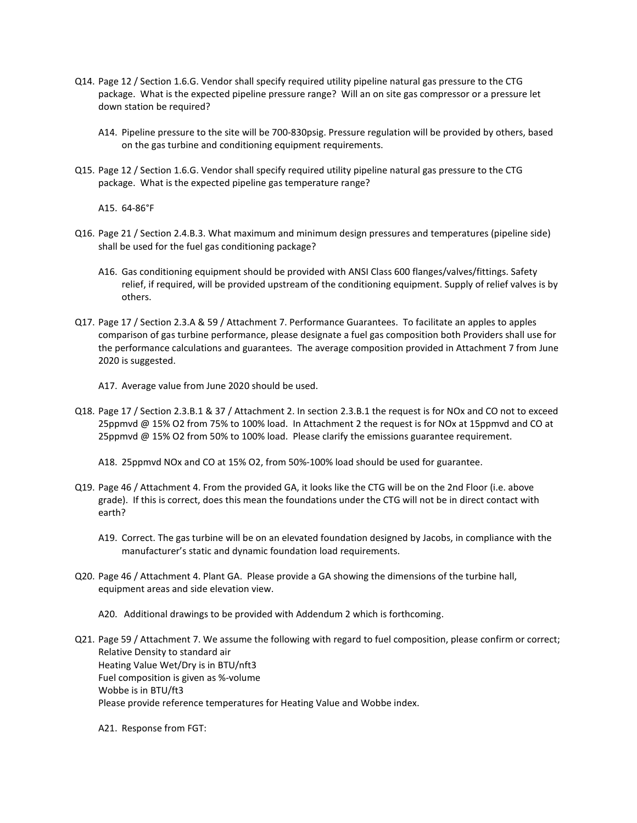- Q14. Page 12 / Section 1.6.G. Vendor shall specify required utility pipeline natural gas pressure to the CTG package. What is the expected pipeline pressure range? Will an on site gas compressor or a pressure let down station be required?
	- A14. Pipeline pressure to the site will be 700-830psig. Pressure regulation will be provided by others, based on the gas turbine and conditioning equipment requirements.
- Q15. Page 12 / Section 1.6.G. Vendor shall specify required utility pipeline natural gas pressure to the CTG package. What is the expected pipeline gas temperature range?

A15. 64-86°F

- Q16. Page 21 / Section 2.4.B.3. What maximum and minimum design pressures and temperatures (pipeline side) shall be used for the fuel gas conditioning package?
	- A16. Gas conditioning equipment should be provided with ANSI Class 600 flanges/valves/fittings. Safety relief, if required, will be provided upstream of the conditioning equipment. Supply of relief valves is by others.
- Q17. Page 17 / Section 2.3.A & 59 / Attachment 7. Performance Guarantees. To facilitate an apples to apples comparison of gas turbine performance, please designate a fuel gas composition both Providers shall use for the performance calculations and guarantees. The average composition provided in Attachment 7 from June 2020 is suggested.
	- A17. Average value from June 2020 should be used.
- Q18. Page 17 / Section 2.3.B.1 & 37 / Attachment 2. In section 2.3.B.1 the request is for NOx and CO not to exceed 25ppmvd @ 15% O2 from 75% to 100% load. In Attachment 2 the request is for NOx at 15ppmvd and CO at 25ppmvd @ 15% O2 from 50% to 100% load. Please clarify the emissions guarantee requirement.

A18. 25ppmvd NOx and CO at 15% O2, from 50%-100% load should be used for guarantee.

- Q19. Page 46 / Attachment 4. From the provided GA, it looks like the CTG will be on the 2nd Floor (i.e. above grade). If this is correct, does this mean the foundations under the CTG will not be in direct contact with earth?
	- A19. Correct. The gas turbine will be on an elevated foundation designed by Jacobs, in compliance with the manufacturer's static and dynamic foundation load requirements.
- Q20. Page 46 / Attachment 4. Plant GA. Please provide a GA showing the dimensions of the turbine hall, equipment areas and side elevation view.

A20. Additional drawings to be provided with Addendum 2 which is forthcoming.

Q21. Page 59 / Attachment 7. We assume the following with regard to fuel composition, please confirm or correct; Relative Density to standard air Heating Value Wet/Dry is in BTU/nft3 Fuel composition is given as %-volume Wobbe is in BTU/ft3 Please provide reference temperatures for Heating Value and Wobbe index.

A21. Response from FGT: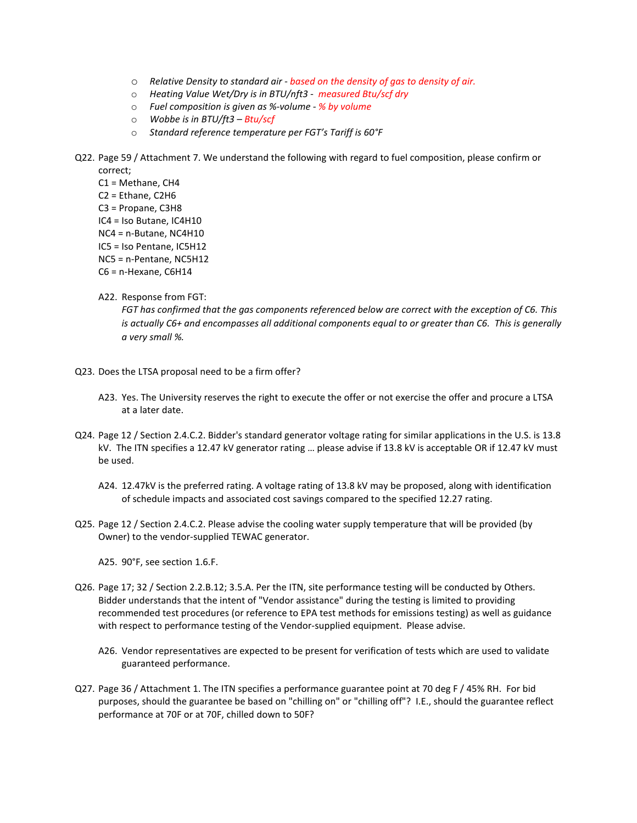- o *Relative Density to standard air - based on the density of gas to density of air.*
- o *Heating Value Wet/Dry is in BTU/nft3 measured Btu/scf dry*
- o *Fuel composition is given as %-volume - % by volume*
- o *Wobbe is in BTU/ft3 – Btu/scf*
- o *Standard reference temperature per FGT's Tariff is 60°F*
- Q22. Page 59 / Attachment 7. We understand the following with regard to fuel composition, please confirm or correct;

C1 = Methane, CH4 C2 = Ethane, C2H6 C3 = Propane, C3H8 IC4 = Iso Butane, IC4H10 NC4 = n-Butane, NC4H10 IC5 = Iso Pentane, IC5H12 NC5 = n-Pentane, NC5H12 C6 = n-Hexane, C6H14

A22. Response from FGT:

*FGT has confirmed that the gas components referenced below are correct with the exception of C6. This is actually C6+ and encompasses all additional components equal to or greater than C6. This is generally a very small %.*

- Q23. Does the LTSA proposal need to be a firm offer?
	- A23. Yes. The University reserves the right to execute the offer or not exercise the offer and procure a LTSA at a later date.
- Q24. Page 12 / Section 2.4.C.2. Bidder's standard generator voltage rating for similar applications in the U.S. is 13.8 kV. The ITN specifies a 12.47 kV generator rating … please advise if 13.8 kV is acceptable OR if 12.47 kV must be used.
	- A24. 12.47kV is the preferred rating. A voltage rating of 13.8 kV may be proposed, along with identification of schedule impacts and associated cost savings compared to the specified 12.27 rating.
- Q25. Page 12 / Section 2.4.C.2. Please advise the cooling water supply temperature that will be provided (by Owner) to the vendor-supplied TEWAC generator.
	- A25. 90°F, see section 1.6.F.
- Q26. Page 17; 32 / Section 2.2.B.12; 3.5.A. Per the ITN, site performance testing will be conducted by Others. Bidder understands that the intent of "Vendor assistance" during the testing is limited to providing recommended test procedures (or reference to EPA test methods for emissions testing) as well as guidance with respect to performance testing of the Vendor-supplied equipment. Please advise.
	- A26. Vendor representatives are expected to be present for verification of tests which are used to validate guaranteed performance.
- Q27. Page 36 / Attachment 1. The ITN specifies a performance guarantee point at 70 deg F / 45% RH. For bid purposes, should the guarantee be based on "chilling on" or "chilling off"? I.E., should the guarantee reflect performance at 70F or at 70F, chilled down to 50F?